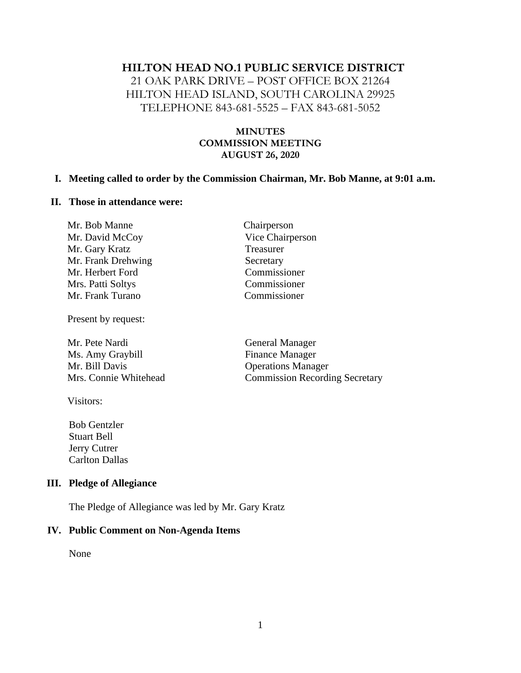#### **HILTON HEAD NO.1 PUBLIC SERVICE DISTRICT**

21 OAK PARK DRIVE – POST OFFICE BOX 21264 HILTON HEAD ISLAND, SOUTH CAROLINA 29925 TELEPHONE 843-681-5525 – FAX 843-681-5052

#### **MINUTES COMMISSION MEETING AUGUST 26, 2020**

Chairperson Vice Chairperson

**Treasurer** Secretary Commissioner Commissioner Commissioner

#### **I. Meeting called to order by the Commission Chairman, Mr. Bob Manne, at 9:01 a.m.**

#### **II. Those in attendance were:**

Present by request:

Mr. Pete Nardi General Manager Ms. Amy Graybill Finance Manager Mr. Bill Davis Operations Manager Mrs. Connie Whitehead Commission Recording Secretary

Visitors:

 Bob Gentzler Stuart Bell Jerry Cutrer Carlton Dallas

#### **III. Pledge of Allegiance**

The Pledge of Allegiance was led by Mr. Gary Kratz

#### **IV. Public Comment on Non-Agenda Items**

None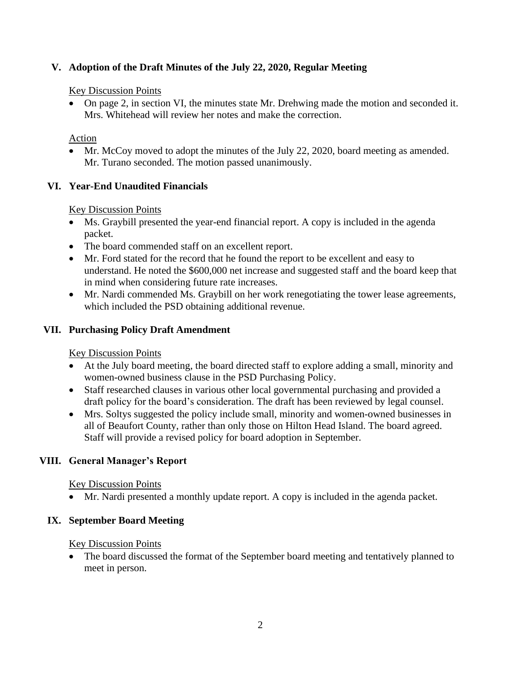# **V. Adoption of the Draft Minutes of the July 22, 2020, Regular Meeting**

#### Key Discussion Points

• On page 2, in section VI, the minutes state Mr. Drehwing made the motion and seconded it. Mrs. Whitehead will review her notes and make the correction.

## Action

• Mr. McCoy moved to adopt the minutes of the July 22, 2020, board meeting as amended. Mr. Turano seconded. The motion passed unanimously.

## **VI. Year-End Unaudited Financials**

## Key Discussion Points

- Ms. Graybill presented the year-end financial report. A copy is included in the agenda packet.
- The board commended staff on an excellent report.
- Mr. Ford stated for the record that he found the report to be excellent and easy to understand. He noted the \$600,000 net increase and suggested staff and the board keep that in mind when considering future rate increases.
- Mr. Nardi commended Ms. Graybill on her work renegotiating the tower lease agreements, which included the PSD obtaining additional revenue.

## **VII. Purchasing Policy Draft Amendment**

## Key Discussion Points

- At the July board meeting, the board directed staff to explore adding a small, minority and women-owned business clause in the PSD Purchasing Policy.
- Staff researched clauses in various other local governmental purchasing and provided a draft policy for the board's consideration. The draft has been reviewed by legal counsel.
- Mrs. Soltys suggested the policy include small, minority and women-owned businesses in all of Beaufort County, rather than only those on Hilton Head Island. The board agreed. Staff will provide a revised policy for board adoption in September.

## **VIII. General Manager's Report**

## Key Discussion Points

• Mr. Nardi presented a monthly update report. A copy is included in the agenda packet.

## **IX. September Board Meeting**

## Key Discussion Points

• The board discussed the format of the September board meeting and tentatively planned to meet in person.